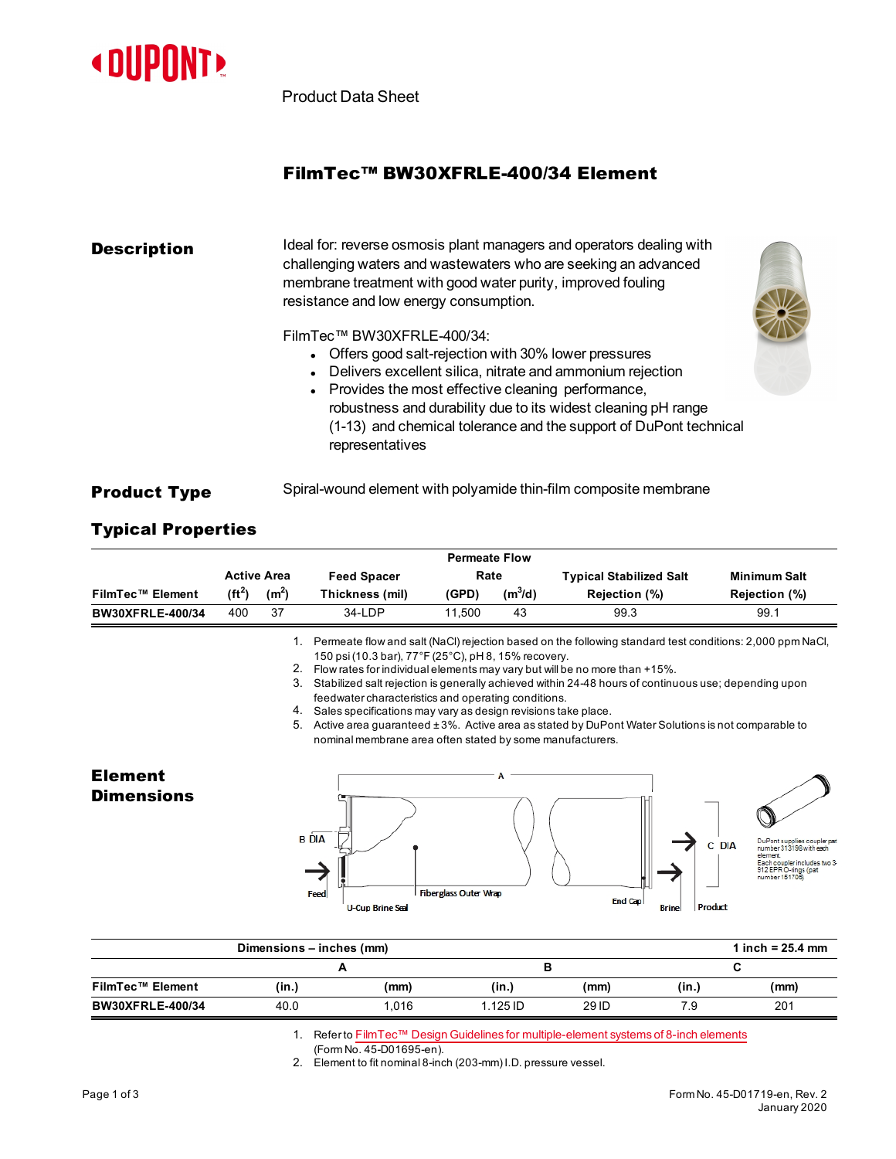

Product Data Sheet

## FilmTec™ BW30XFRLE-400/34 Element

| <b>Description</b> | Ideal for: reverse osmosis plant managers and operators dealing with<br>challenging waters and wastewaters who are seeking an advanced<br>membrane treatment with good water purity, improved fouling<br>resistance and low energy consumption.                                                                                                              |  |  |  |  |
|--------------------|--------------------------------------------------------------------------------------------------------------------------------------------------------------------------------------------------------------------------------------------------------------------------------------------------------------------------------------------------------------|--|--|--|--|
|                    | FilmTec™ BW30XFRLE-400/34:<br>Offers good salt-rejection with 30% lower pressures<br>Delivers excellent silica, nitrate and ammonium rejection<br>Provides the most effective cleaning performance,<br>robustness and durability due to its widest cleaning pH range<br>(1-13) and chemical tolerance and the support of DuPont technical<br>representatives |  |  |  |  |

## **Product Type** Spiral-wound element with polyamide thin-film composite membrane

## Typical Properties

|                                     |          |                    |                                                                                                                                                                                                                                                                                                                                                                                                                                                                                                                                                 | <b>Permeate Flow</b>         |           |                                                                                                          |                                            |                                                                                                                                              |
|-------------------------------------|----------|--------------------|-------------------------------------------------------------------------------------------------------------------------------------------------------------------------------------------------------------------------------------------------------------------------------------------------------------------------------------------------------------------------------------------------------------------------------------------------------------------------------------------------------------------------------------------------|------------------------------|-----------|----------------------------------------------------------------------------------------------------------|--------------------------------------------|----------------------------------------------------------------------------------------------------------------------------------------------|
|                                     |          | <b>Active Area</b> | <b>Feed Spacer</b>                                                                                                                                                                                                                                                                                                                                                                                                                                                                                                                              | Rate                         |           | <b>Typical Stabilized Salt</b>                                                                           |                                            | <b>Minimum Salt</b>                                                                                                                          |
| <b>FilmTec™ Element</b>             | $(ft^2)$ | (m <sup>2</sup> )  | Thickness (mil)                                                                                                                                                                                                                                                                                                                                                                                                                                                                                                                                 | (GPD)                        | $(m^3/d)$ | Rejection (%)                                                                                            |                                            | Rejection (%)                                                                                                                                |
| <b>BW30XFRLE-400/34</b>             | 400      | 37                 | 34-LDP                                                                                                                                                                                                                                                                                                                                                                                                                                                                                                                                          | 11,500                       | 43        | 99.3                                                                                                     |                                            | 99.1                                                                                                                                         |
|                                     |          | 1.                 | 150 psi (10.3 bar), 77°F (25°C), pH 8, 15% recovery.<br>2. Flow rates for individual elements may vary but will be no more than +15%.<br>3. Stabilized salt rejection is generally achieved within 24-48 hours of continuous use; depending upon<br>feedwater characteristics and operating conditions.<br>4. Sales specifications may vary as design revisions take place.<br>5. Active area guaranteed ±3%. Active area as stated by DuPont Water Solutions is not comparable to<br>nominal membrane area often stated by some manufacturers. |                              |           | Permeate flow and salt (NaCl) rejection based on the following standard test conditions: 2,000 ppm NaCl, |                                            |                                                                                                                                              |
| <b>Element</b><br><b>Dimensions</b> |          |                    | <b>B</b> DIA<br>Feed<br><b>U-Cup Brine Seal</b>                                                                                                                                                                                                                                                                                                                                                                                                                                                                                                 | <b>Fiberglass Outer Wrap</b> |           | End Cap                                                                                                  | <b>DIA</b><br>C<br>Product<br><b>Brine</b> | DuPont supplies coupler par<br>number 313198 with each<br>element<br>Each coupler includes two 3-<br>912 EPR O-rings (pat<br>number 151705). |
|                                     |          |                    | Dimensions - inches (mm)                                                                                                                                                                                                                                                                                                                                                                                                                                                                                                                        |                              |           |                                                                                                          |                                            | 1 inch = $25.4$ mm                                                                                                                           |
|                                     |          |                    | A                                                                                                                                                                                                                                                                                                                                                                                                                                                                                                                                               |                              |           | в                                                                                                        | C                                          |                                                                                                                                              |
| <b>FilmTec™ Element</b>             |          | (in.)              | (mm)                                                                                                                                                                                                                                                                                                                                                                                                                                                                                                                                            |                              | (in.)     | (mm)                                                                                                     | (in.)                                      | (mm)                                                                                                                                         |

1. Refer to FilmTec™ Design Guidelines for [multiple-element](https://www.dupont.com/content/dam/dupont/amer/us/en/water-solutions/public/documents/en/45-D01695-en.pdf) systems of 8-inch elements

(Form No. 45-D01695-en).

2. Element to fit nominal 8-inch (203-mm) I.D. pressure vessel.

**BW30XFRLE-400/34** 40.0 1,016 1.125 ID 29 ID 7.9 201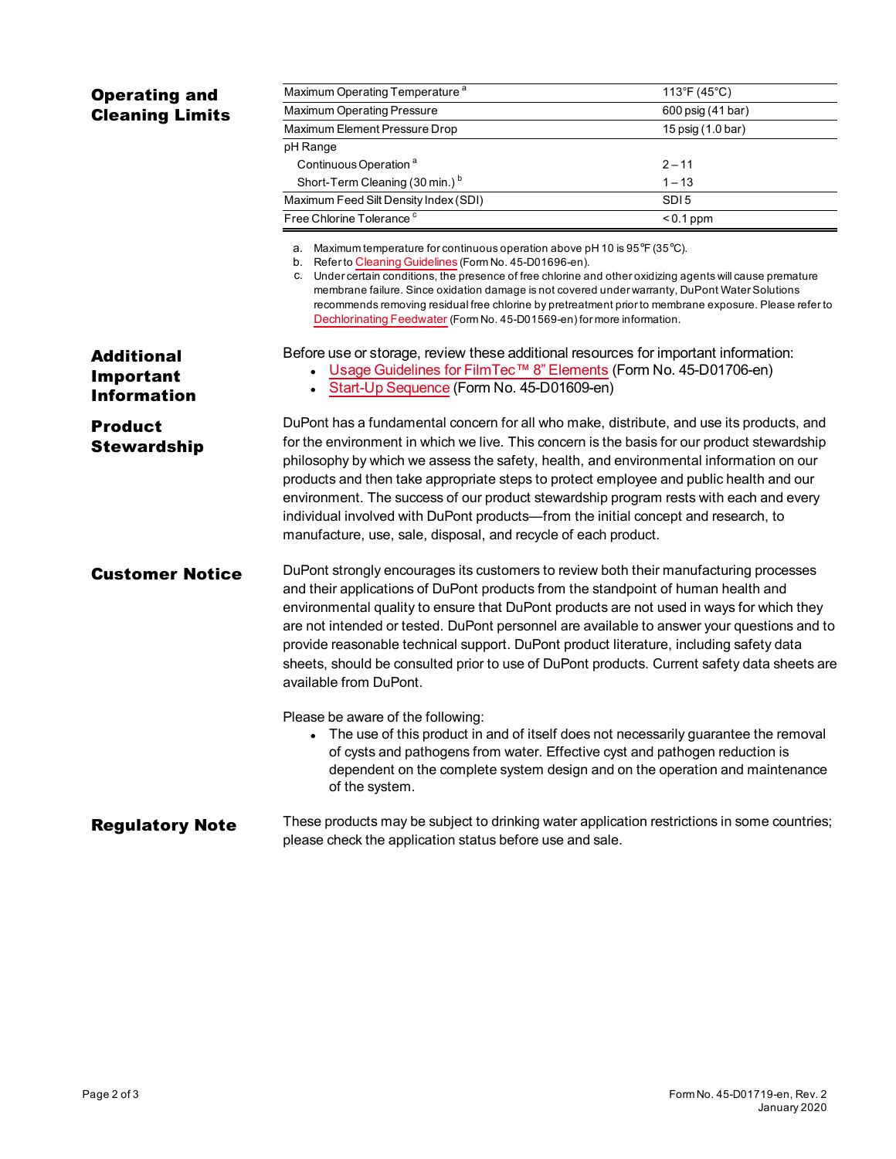|                                                      | Maximum Operating Temperature <sup>a</sup>                                                                                                                                                                                                                                                                                                                                                                                                                                                                                                                                                                                   | 113°F (45°C)                                                                                                                                                        |  |  |  |  |  |
|------------------------------------------------------|------------------------------------------------------------------------------------------------------------------------------------------------------------------------------------------------------------------------------------------------------------------------------------------------------------------------------------------------------------------------------------------------------------------------------------------------------------------------------------------------------------------------------------------------------------------------------------------------------------------------------|---------------------------------------------------------------------------------------------------------------------------------------------------------------------|--|--|--|--|--|
| <b>Operating and</b><br><b>Cleaning Limits</b>       | Maximum Operating Pressure                                                                                                                                                                                                                                                                                                                                                                                                                                                                                                                                                                                                   | 600 psig (41 bar)                                                                                                                                                   |  |  |  |  |  |
|                                                      | Maximum Element Pressure Drop                                                                                                                                                                                                                                                                                                                                                                                                                                                                                                                                                                                                | 15 psig (1.0 bar)                                                                                                                                                   |  |  |  |  |  |
|                                                      | pH Range                                                                                                                                                                                                                                                                                                                                                                                                                                                                                                                                                                                                                     |                                                                                                                                                                     |  |  |  |  |  |
|                                                      | Continuous Operation <sup>a</sup>                                                                                                                                                                                                                                                                                                                                                                                                                                                                                                                                                                                            | $2 - 11$                                                                                                                                                            |  |  |  |  |  |
|                                                      | Short-Term Cleaning (30 min.) <sup>b</sup>                                                                                                                                                                                                                                                                                                                                                                                                                                                                                                                                                                                   | $1 - 13$                                                                                                                                                            |  |  |  |  |  |
|                                                      | Maximum Feed Silt Density Index (SDI)                                                                                                                                                                                                                                                                                                                                                                                                                                                                                                                                                                                        | SDI <sub>5</sub>                                                                                                                                                    |  |  |  |  |  |
|                                                      | Free Chlorine Tolerance <sup>c</sup>                                                                                                                                                                                                                                                                                                                                                                                                                                                                                                                                                                                         | $< 0.1$ ppm                                                                                                                                                         |  |  |  |  |  |
|                                                      | a. Maximum temperature for continuous operation above pH 10 is 95 $\degree$ F (35 $\degree$ C).<br>b. Refer to Cleaning Guidelines (Form No. 45-D01696-en).<br>c. Under certain conditions, the presence of free chlorine and other oxidizing agents will cause premature<br>membrane failure. Since oxidation damage is not covered under warranty, DuPont Water Solutions<br>recommends removing residual free chlorine by pretreatment prior to membrane exposure. Please refer to<br>Dechlorinating Feedwater (Form No. 45-D01569-en) for more information.                                                              |                                                                                                                                                                     |  |  |  |  |  |
| <b>Additional</b><br>Important<br><b>Information</b> | Before use or storage, review these additional resources for important information:<br>• Usage Guidelines for FilmTec™ 8" Elements (Form No. 45-D01706-en)<br>• Start-Up Sequence (Form No. 45-D01609-en)                                                                                                                                                                                                                                                                                                                                                                                                                    |                                                                                                                                                                     |  |  |  |  |  |
| <b>Product</b><br><b>Stewardship</b>                 | DuPont has a fundamental concern for all who make, distribute, and use its products, and<br>for the environment in which we live. This concern is the basis for our product stewardship<br>philosophy by which we assess the safety, health, and environmental information on our<br>products and then take appropriate steps to protect employee and public health and our<br>environment. The success of our product stewardship program rests with each and every<br>individual involved with DuPont products—from the initial concept and research, to<br>manufacture, use, sale, disposal, and recycle of each product. |                                                                                                                                                                     |  |  |  |  |  |
| <b>Customer Notice</b>                               | DuPont strongly encourages its customers to review both their manufacturing processes<br>and their applications of DuPont products from the standpoint of human health and<br>environmental quality to ensure that DuPont products are not used in ways for which they<br>are not intended or tested. DuPont personnel are available to answer your questions and to<br>provide reasonable technical support. DuPont product literature, including safety data<br>sheets, should be consulted prior to use of DuPont products. Current safety data sheets are<br>available from DuPont.                                      |                                                                                                                                                                     |  |  |  |  |  |
|                                                      | Please be aware of the following:<br>of cysts and pathogens from water. Effective cyst and pathogen reduction is<br>of the system.                                                                                                                                                                                                                                                                                                                                                                                                                                                                                           | The use of this product in and of itself does not necessarily guarantee the removal<br>dependent on the complete system design and on the operation and maintenance |  |  |  |  |  |
| <b>Regulatory Note</b>                               | These products may be subject to drinking water application restrictions in some countries;<br>please check the application status before use and sale.                                                                                                                                                                                                                                                                                                                                                                                                                                                                      |                                                                                                                                                                     |  |  |  |  |  |